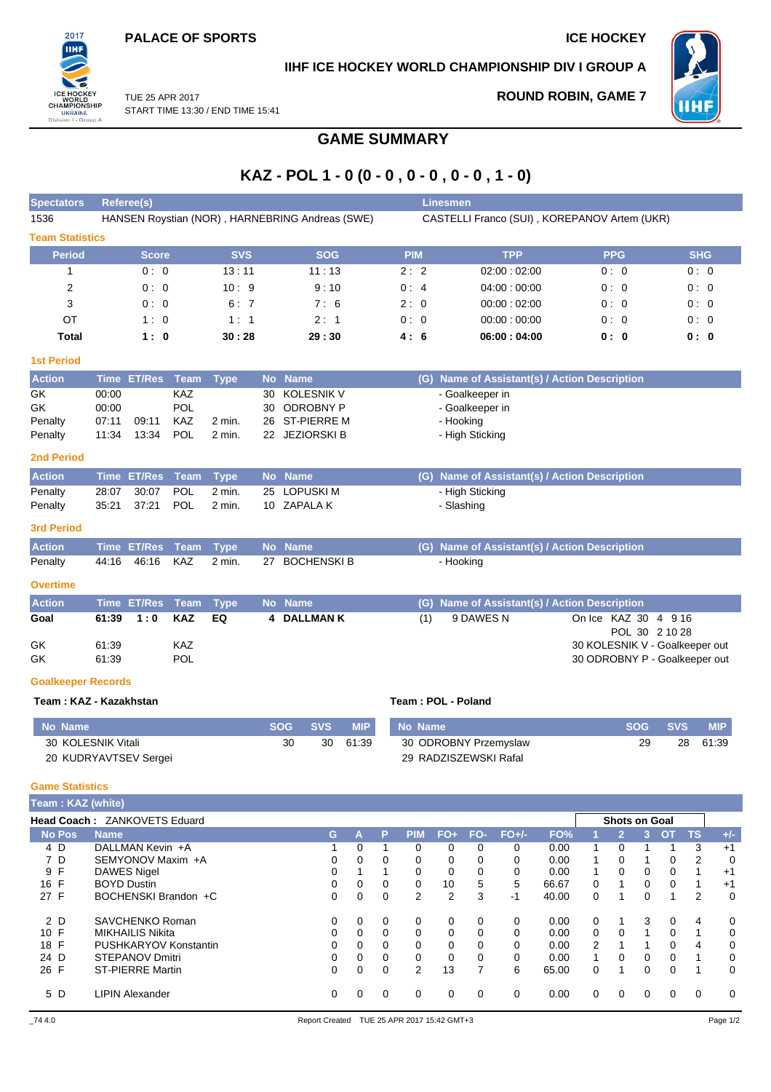

## **IIHF ICE HOCKEY WORLD CHAMPIONSHIP DIV I GROUP A**

TUE 25 APR 2017 START TIME 13:30 / END TIME 15:41 **ROUND ROBIN, GAME 7**



# **GAME SUMMARY**

# **KAZ - POL 1 - 0 (0 - 0 , 0 - 0 , 0 - 0 , 1 - 0)**

| <b>Spectators</b>                           | <b>Referee(s)</b>                               |                                                   |             |             |    |            |                                              | <b>Linesmen</b>   |              |                    |       |                       |                     |                       |                                               |                                |                      |                |                |                              |              |
|---------------------------------------------|-------------------------------------------------|---------------------------------------------------|-------------|-------------|----|------------|----------------------------------------------|-------------------|--------------|--------------------|-------|-----------------------|---------------------|-----------------------|-----------------------------------------------|--------------------------------|----------------------|----------------|----------------|------------------------------|--------------|
| 1536                                        | HANSEN Roystian (NOR), HARNEBRING Andreas (SWE) |                                                   |             |             |    |            | CASTELLI Franco (SUI), KOREPANOV Artem (UKR) |                   |              |                    |       |                       |                     |                       |                                               |                                |                      |                |                |                              |              |
| <b>Team Statistics</b>                      |                                                 |                                                   |             |             |    |            |                                              |                   |              |                    |       |                       |                     |                       |                                               |                                |                      |                |                |                              |              |
| <b>Period</b>                               |                                                 | <b>Score</b>                                      |             | <b>SVS</b>  |    |            | <b>SOG</b>                                   |                   |              | <b>PIM</b>         |       |                       |                     | <b>TPP</b>            |                                               |                                | <b>PPG</b>           |                |                | <b>SHG</b>                   |              |
| 1                                           |                                                 | 0:0                                               |             | 13:11       |    |            | 11:13                                        |                   |              | 2:2                |       |                       |                     | 02:00:02:00           |                                               |                                | 0:0                  |                |                | 0:0                          |              |
| $\overline{2}$                              |                                                 | 0:0                                               |             | 10:9        |    |            | 9:10                                         |                   |              | 0:4                |       |                       |                     | 04:00:00:00           |                                               |                                | 0:0                  |                |                | 0:0                          |              |
| 3                                           |                                                 | 0: 0                                              |             | 6:7         |    |            | 7:6                                          |                   |              | 2:0                |       |                       |                     | 00:00:02:00           |                                               |                                | 0:0                  |                |                | 0:0                          |              |
| OT                                          |                                                 | 1:0                                               |             | 1:1         |    |            | 2:1                                          |                   |              | 0:0                |       |                       |                     | 00:00:00:00           |                                               |                                | 0:0                  |                |                | 0:0                          |              |
| <b>Total</b>                                |                                                 | 1:0                                               |             | 30:28       |    |            | 29:30                                        |                   |              | 4:6                |       |                       |                     | 06:00:04:00           |                                               |                                | 0: 0                 |                |                | 0: 0                         |              |
| <b>1st Period</b>                           |                                                 |                                                   |             |             |    |            |                                              |                   |              |                    |       |                       |                     |                       |                                               |                                |                      |                |                |                              |              |
| <b>Action</b>                               |                                                 | Time ET/Res Team                                  |             | <b>Type</b> |    | No Name    |                                              |                   |              |                    |       |                       |                     |                       | (G) Name of Assistant(s) / Action Description |                                |                      |                |                |                              |              |
| GK                                          | 00:00                                           |                                                   | <b>KAZ</b>  |             | 30 |            | <b>KOLESNIK V</b>                            |                   |              |                    |       | - Goalkeeper in       |                     |                       |                                               |                                |                      |                |                |                              |              |
| GK                                          | 00:00                                           |                                                   | <b>POL</b>  |             | 30 |            | <b>ODROBNY P</b>                             |                   |              |                    |       | - Goalkeeper in       |                     |                       |                                               |                                |                      |                |                |                              |              |
| Penalty                                     | 07:11                                           | 09:11                                             | KAZ         | 2 min.      | 26 |            | ST-PIERRE M                                  |                   |              |                    |       | - Hooking             |                     |                       |                                               |                                |                      |                |                |                              |              |
| Penalty                                     | 11:34                                           | 13:34                                             | POL         | $2$ min.    |    |            | 22 JEZIORSKI B                               |                   |              |                    |       | - High Sticking       |                     |                       |                                               |                                |                      |                |                |                              |              |
| <b>2nd Period</b>                           |                                                 |                                                   |             |             |    |            |                                              |                   |              |                    |       |                       |                     |                       |                                               |                                |                      |                |                |                              |              |
| <b>Action</b>                               |                                                 | <b>Time ET/Res</b>                                | Team        | <b>Type</b> |    | No Name    |                                              |                   |              |                    |       |                       |                     |                       | (G) Name of Assistant(s) / Action Description |                                |                      |                |                |                              |              |
| Penalty                                     | 28:07                                           | 30:07                                             | <b>POL</b>  | 2 min.      | 25 |            | <b>LOPUSKI M</b>                             |                   |              |                    |       | - High Sticking       |                     |                       |                                               |                                |                      |                |                |                              |              |
| Penalty                                     | 35:21                                           | 37:21                                             | POL         | 2 min.      | 10 |            | <b>ZAPALAK</b>                               |                   |              |                    |       | - Slashing            |                     |                       |                                               |                                |                      |                |                |                              |              |
| <b>3rd Period</b>                           |                                                 |                                                   |             |             |    |            |                                              |                   |              |                    |       |                       |                     |                       |                                               |                                |                      |                |                |                              |              |
| <b>Action</b>                               |                                                 | <b>Time ET/Res</b>                                | <b>Team</b> | <b>Type</b> |    | No Name    |                                              |                   |              |                    |       |                       |                     |                       | (G) Name of Assistant(s) / Action Description |                                |                      |                |                |                              |              |
| Penalty                                     | 44:16                                           | 46:16                                             | KAZ         | 2 min.      |    |            | 27 BOCHENSKI B                               |                   |              |                    |       | - Hooking             |                     |                       |                                               |                                |                      |                |                |                              |              |
| <b>Overtime</b>                             |                                                 |                                                   |             |             |    |            |                                              |                   |              |                    |       |                       |                     |                       |                                               |                                |                      |                |                |                              |              |
| <b>Action</b>                               |                                                 | Time ET/Res                                       | Team        | <b>Type</b> |    | No Name    |                                              |                   |              | (G)                |       |                       |                     |                       | Name of Assistant(s) / Action Description     |                                |                      |                |                |                              |              |
| Goal                                        | 61:39                                           | 1:0                                               | <b>KAZ</b>  | EQ          | 4  |            | <b>DALLMAN K</b>                             |                   |              | (1)                |       | 9 DAWES N             |                     |                       |                                               | On Ice KAZ 30 4 9 16           |                      |                |                |                              |              |
|                                             |                                                 |                                                   |             |             |    |            |                                              |                   |              |                    |       |                       |                     |                       |                                               |                                |                      |                | POL 30 2 10 28 |                              |              |
| GK                                          | 61:39                                           |                                                   | KAZ         |             |    |            |                                              |                   |              |                    |       |                       |                     |                       |                                               | 30 KOLESNIK V - Goalkeeper out |                      |                |                |                              |              |
| GK                                          | 61:39                                           |                                                   | POL         |             |    |            |                                              |                   |              |                    |       |                       |                     |                       |                                               | 30 ODROBNY P - Goalkeeper out  |                      |                |                |                              |              |
| <b>Goalkeeper Records</b>                   |                                                 |                                                   |             |             |    |            |                                              |                   |              |                    |       |                       |                     |                       |                                               |                                |                      |                |                |                              |              |
| Team: KAZ - Kazakhstan                      |                                                 |                                                   |             |             |    |            |                                              |                   |              | Team: POL - Poland |       |                       |                     |                       |                                               |                                |                      |                |                |                              |              |
| <b>No Name</b>                              |                                                 |                                                   |             |             |    | <b>SOG</b> | <b>SVS</b>                                   | <b>MIP</b>        |              | No Name            |       |                       |                     |                       |                                               |                                |                      | <b>SOG</b>     | <b>SVS</b>     |                              | <b>MIP</b>   |
| 30 KOLESNIK Vitali                          |                                                 |                                                   |             |             |    | 30         | 30                                           | 61:39             |              |                    |       |                       |                     | 30 ODROBNY Przemyslaw |                                               |                                |                      | 29             | 28             |                              | 61:39        |
| 20 KUDRYAVTSEV Sergei                       |                                                 |                                                   |             |             |    |            |                                              |                   |              |                    |       | 29 RADZISZEWSKI Rafal |                     |                       |                                               |                                |                      |                |                |                              |              |
|                                             |                                                 |                                                   |             |             |    |            |                                              |                   |              |                    |       |                       |                     |                       |                                               |                                |                      |                |                |                              |              |
| <b>Game Statistics</b><br>Team: KAZ (white) |                                                 |                                                   |             |             |    |            |                                              |                   |              |                    |       |                       |                     |                       |                                               |                                |                      |                |                |                              |              |
| Head Coach: ZANKOVETS Eduard                |                                                 |                                                   |             |             |    |            |                                              |                   |              |                    |       |                       |                     |                       |                                               |                                | <b>Shots on Goal</b> |                |                |                              |              |
| <b>No Pos</b>                               | <b>Name</b>                                     |                                                   |             |             |    |            | G                                            | A                 | P            | <b>PIM</b>         | $FO+$ |                       | FO-                 | $FO+/-$               | FO%                                           | 1                              | $\overline{2}$       | 3 <sup>1</sup> | <b>OT</b>      | <b>TS</b>                    | $+/-$        |
| 4 D                                         |                                                 | DALLMAN Kevin +A                                  |             |             |    |            | 1                                            | 0                 | $\mathbf{1}$ | 0                  |       | 0                     | 0                   | 0                     | 0.00                                          | 1                              | 0                    | 1              | 1              | 3                            | $+1$         |
| 7 D<br>9 F                                  |                                                 | SEMYONOV Maxim +A                                 |             |             |    |            | 0                                            | 0                 | 0            | 0                  |       | $\mathbf 0$           | 0                   | 0                     | 0.00                                          | 1                              | 0                    | $\mathbf{1}$   | 0              | 2                            | 0            |
| 16 F                                        |                                                 | <b>DAWES Nigel</b><br><b>BOYD Dustin</b>          |             |             |    |            | 0<br>0                                       | $\mathbf{1}$<br>0 | 1<br>0       | 0<br>0             |       | 0<br>10               | 0<br>5              | 0<br>5                | 0.00<br>66.67                                 | 1<br>0                         | 0<br>1               | 0<br>0         | 0<br>0         | $\mathbf{1}$<br>$\mathbf{1}$ | $+1$<br>$+1$ |
| 27 F                                        |                                                 | BOCHENSKI Brandon +C                              |             |             |    |            | $\Omega$                                     | $\Omega$          | $\Omega$     | $\overline{2}$     |       | 2                     | 3                   | $-1$                  | 40.00                                         | 0                              | 1                    | $\Omega$       | $\mathbf{1}$   | 2                            | 0            |
| 2 D                                         |                                                 | SAVCHENKO Roman                                   |             |             |    |            | 0                                            | 0                 | 0            | 0                  |       | 0                     | 0                   | 0                     | 0.00                                          | 0                              | 1                    | 3              | 0              | 4                            | 0            |
| 10 F                                        |                                                 | <b>MIKHAILIS Nikita</b>                           |             |             |    |            | 0                                            | 0                 | 0            | 0                  |       | 0                     | 0                   | 0                     | 0.00                                          | 0                              | 0                    | $\mathbf{1}$   | 0              | $\mathbf{1}$                 | 0            |
| 18 F                                        |                                                 | PUSHKARYOV Konstantin                             |             |             |    |            | 0                                            | 0                 | 0            | $\Omega$           |       | 0                     | 0                   | 0                     | 0.00                                          | 2                              | $\mathbf{1}$         | $\mathbf{1}$   | 0              | 4                            | 0            |
| 24 D<br>26 F                                |                                                 | <b>STEPANOV Dmitri</b><br><b>ST-PIERRE Martin</b> |             |             |    |            | 0<br>0                                       | 0<br>$\Omega$     | 0<br>0       | 0<br>2             |       | 0<br>13               | 0<br>$\overline{7}$ | 0<br>6                | 0.00<br>65.00                                 | 1<br>0                         | 0<br>1               | 0<br>0         | 0<br>0         | $\mathbf{1}$<br>$\mathbf{1}$ | 0<br>0       |
| 5 D                                         |                                                 | <b>LIPIN Alexander</b>                            |             |             |    |            | $\mathbf 0$                                  | 0                 | 0            | 0                  |       | 0                     | 0                   | 0                     |                                               | 0                              | 0                    | 0              |                | 0                            | 0            |
|                                             |                                                 |                                                   |             |             |    |            |                                              |                   |              |                    |       |                       |                     |                       | 0.00                                          |                                |                      |                | 0              |                              |              |